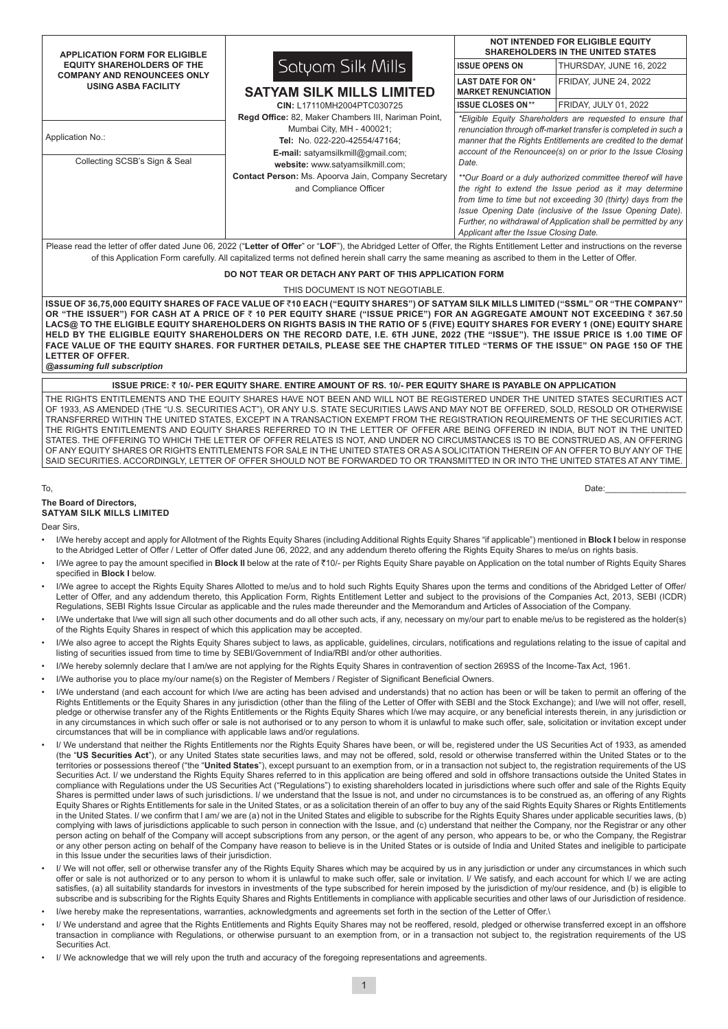| <b>APPLICATION FORM FOR ELIGIBLE</b>                                                                                                                                                                                                                                                                                                   |                                                                                                                                                                                                                                                                                           | <b>NOT INTENDED FOR ELIGIBLE EQUITY</b><br><b>SHAREHOLDERS IN THE UNITED STATES</b>                                                                                                                                                                                                                                                                                                                                                                                                                                                                                                                  |                              |  |  |  |  |  |  |  |  |
|----------------------------------------------------------------------------------------------------------------------------------------------------------------------------------------------------------------------------------------------------------------------------------------------------------------------------------------|-------------------------------------------------------------------------------------------------------------------------------------------------------------------------------------------------------------------------------------------------------------------------------------------|------------------------------------------------------------------------------------------------------------------------------------------------------------------------------------------------------------------------------------------------------------------------------------------------------------------------------------------------------------------------------------------------------------------------------------------------------------------------------------------------------------------------------------------------------------------------------------------------------|------------------------------|--|--|--|--|--|--|--|--|
| <b>EQUITY SHAREHOLDERS OF THE</b>                                                                                                                                                                                                                                                                                                      | Satyam Silk Mills                                                                                                                                                                                                                                                                         | <b>ISSUE OPENS ON</b>                                                                                                                                                                                                                                                                                                                                                                                                                                                                                                                                                                                | THURSDAY, JUNE 16, 2022      |  |  |  |  |  |  |  |  |
| <b>COMPANY AND RENOUNCEES ONLY</b><br><b>USING ASBA FACILITY</b>                                                                                                                                                                                                                                                                       | <b>SATYAM SILK MILLS LIMITED</b>                                                                                                                                                                                                                                                          | <b>LAST DATE FOR ON*</b><br><b>MARKET RENUNCIATION</b>                                                                                                                                                                                                                                                                                                                                                                                                                                                                                                                                               | <b>FRIDAY, JUNE 24, 2022</b> |  |  |  |  |  |  |  |  |
|                                                                                                                                                                                                                                                                                                                                        | CIN: L17110MH2004PTC030725                                                                                                                                                                                                                                                                | <b>ISSUE CLOSES ON**</b>                                                                                                                                                                                                                                                                                                                                                                                                                                                                                                                                                                             | FRIDAY, JULY 01, 2022        |  |  |  |  |  |  |  |  |
| Application No.:<br>Collecting SCSB's Sign & Seal                                                                                                                                                                                                                                                                                      | Regd Office: 82, Maker Chambers III, Nariman Point,<br>Mumbai City, MH - 400021;<br>Tel: No. 022-220-42554/47164;<br><b>E-mail:</b> satyamsilkmill@gmail.com;<br>website: www.satyamsilkmill.com;<br><b>Contact Person: Ms. Apoorva Jain, Company Secretary</b><br>and Compliance Officer | *Eligible Equity Shareholders are requested to ensure that<br>renunciation through off-market transfer is completed in such a<br>manner that the Rights Entitlements are credited to the demat<br>account of the Renouncee(s) on or prior to the Issue Closing<br>Date.<br>**Our Board or a duly authorized committee thereof will have<br>the right to extend the Issue period as it may determine<br>from time to time but not exceeding 30 (thirty) days from the<br>Issue Opening Date (inclusive of the Issue Opening Date).<br>Further, no withdrawal of Application shall be permitted by any |                              |  |  |  |  |  |  |  |  |
|                                                                                                                                                                                                                                                                                                                                        |                                                                                                                                                                                                                                                                                           | Applicant after the Issue Closing Date.                                                                                                                                                                                                                                                                                                                                                                                                                                                                                                                                                              |                              |  |  |  |  |  |  |  |  |
| Please read the letter of offer dated June 06, 2022 ("Letter of Offer" or "LOF"), the Abridged Letter of Offer, the Rights Entitlement Letter and instructions on the reverse<br>of this Application Form carefully. All capitalized terms not defined herein shall carry the same meaning as ascribed to them in the Letter of Offer. |                                                                                                                                                                                                                                                                                           |                                                                                                                                                                                                                                                                                                                                                                                                                                                                                                                                                                                                      |                              |  |  |  |  |  |  |  |  |
| DO NOT TEAR OR DETACH ANY PART OF THIS APPLICATION FORM                                                                                                                                                                                                                                                                                |                                                                                                                                                                                                                                                                                           |                                                                                                                                                                                                                                                                                                                                                                                                                                                                                                                                                                                                      |                              |  |  |  |  |  |  |  |  |

#### THIS DOCUMENT IS NOT NEGOTIABLE.

**ISSUE OF 36,75,000 EQUITY SHARES OF FACE VALUE OF ₹10 EACH ("EQUITY SHARES") OF SATYAM SILK MILLS LIMITED ("SSML" OR "THE COMPANY" OR "THE ISSUER") FOR CASH AT A PRICE OF** ` **10 PER EQUITY SHARE ("ISSUE PRICE") FOR AN AGGREGATE AMOUNT NOT EXCEEDING** ` **367.50 LACS@ TO THE ELIGIBLE EQUITY SHAREHOLDERS ON RIGHTS BASIS IN THE RATIO OF 5 (FIVE) EQUITY SHARES FOR EVERY 1 (ONE) EQUITY SHARE HELD BY THE ELIGIBLE EQUITY SHAREHOLDERS ON THE RECORD DATE, I.E. 6TH JUNE, 2022 (THE "ISSUE"). THE ISSUE PRICE IS 1.00 TIME OF FACE VALUE OF THE EQUITY SHARES. FOR FURTHER DETAILS, PLEASE SEE THE CHAPTER TITLED "TERMS OF THE ISSUE" ON PAGE 150 OF THE LETTER OF OFFER.**

*@assuming full subscription*

**ISSUE PRICE:** ` **10/- PER EQUITY SHARE. ENTIRE AMOUNT OF RS. 10/- PER EQUITY SHARE IS PAYABLE ON APPLICATION**

THE RIGHTS ENTITLEMENTS AND THE EQUITY SHARES HAVE NOT BEEN AND WILL NOT BE REGISTERED UNDER THE UNITED STATES SECURITIES ACT OF 1933, AS AMENDED (THE "U.S. SECURITIES ACT"), OR ANY U.S. STATE SECURITIES LAWS AND MAY NOT BE OFFERED, SOLD, RESOLD OR OTHERWISE TRANSFERRED WITHIN THE UNITED STATES, EXCEPT IN A TRANSACTION EXEMPT FROM THE REGISTRATION REQUIREMENTS OF THE SECURITIES ACT. THE RIGHTS ENTITLEMENTS AND EQUITY SHARES REFERRED TO IN THE LETTER OF OFFER ARE BEING OFFERED IN INDIA, BUT NOT IN THE UNITED STATES. THE OFFERING TO WHICH THE LETTER OF OFFER RELATES IS NOT, AND UNDER NO CIRCUMSTANCES IS TO BE CONSTRUED AS, AN OFFERING OF ANY EQUITY SHARES OR RIGHTS ENTITLEMENTS FOR SALE IN THE UNITED STATES OR AS A SOLICITATION THEREIN OF AN OFFER TO BUY ANY OF THE SAID SECURITIES. ACCORDINGLY, LETTER OF OFFER SHOULD NOT BE FORWARDED TO OR TRANSMITTED IN OR INTO THE UNITED STATES AT ANY TIME.

## To, Date:\_\_\_\_\_\_\_\_\_\_\_\_\_\_\_\_\_

#### **The Board of Directors, SATYAM SILK MILLS LIMITED**

Dear Sirs,

- I/We hereby accept and apply for Allotment of the Rights Equity Shares (including Additional Rights Equity Shares "if applicable") mentioned in **Block I** below in response to the Abridged Letter of Offer / Letter of Offer dated June 06, 2022, and any addendum thereto offering the Rights Equity Shares to me/us on rights basis.
- I/We agree to pay the amount specified in **Block II** below at the rate of ₹10/- per Rights Equity Share payable on Application on the total number of Rights Equity Shares specified in **Block I** below.
- I/We agree to accept the Rights Equity Shares Allotted to me/us and to hold such Rights Equity Shares upon the terms and conditions of the Abridged Letter of Offer/ Letter of Offer, and any addendum thereto, this Application Form, Rights Entitlement Letter and subject to the provisions of the Companies Act, 2013, SEBI (ICDR) Regulations, SEBI Rights Issue Circular as applicable and the rules made thereunder and the Memorandum and Articles of Association of the Company.
- I/We undertake that I/we will sign all such other documents and do all other such acts, if any, necessary on my/our part to enable me/us to be registered as the holder(s) of the Rights Equity Shares in respect of which this application may be accepted.
- I/We also agree to accept the Rights Equity Shares subject to laws, as applicable, guidelines, circulars, notifications and regulations relating to the issue of capital and listing of securities issued from time to time by SEBI/Government of India/RBI and/or other authorities.
- I/We hereby solemnly declare that I am/we are not applying for the Rights Equity Shares in contravention of section 269SS of the Income-Tax Act, 1961.
- I/We authorise you to place my/our name(s) on the Register of Members / Register of Significant Beneficial Owners.
- I/We understand (and each account for which I/we are acting has been advised and understands) that no action has been or will be taken to permit an offering of the Rights Entitlements or the Equity Shares in any jurisdiction (other than the filing of the Letter of Offer with SEBI and the Stock Exchange); and I/we will not offer, resell, pledge or otherwise transfer any of the Rights Entitlements or the Rights Equity Shares which I/we may acquire, or any beneficial interests therein, in any jurisdiction or in any circumstances in which such offer or sale is not authorised or to any person to whom it is unlawful to make such offer, sale, solicitation or invitation except under circumstances that will be in compliance with applicable laws and/or regulations.
- I/ We understand that neither the Rights Entitlements nor the Rights Equity Shares have been, or will be, registered under the US Securities Act of 1933, as amended (the "**US Securities Act**"), or any United States state securities laws, and may not be offered, sold, resold or otherwise transferred within the United States or to the territories or possessions thereof ("the "**United States**"), except pursuant to an exemption from, or in a transaction not subject to, the registration requirements of the US Securities Act. I/ we understand the Rights Equity Shares referred to in this application are being offered and sold in offshore transactions outside the United States in compliance with Regulations under the US Securities Act ("Regulations") to existing shareholders located in jurisdictions where such offer and sale of the Rights Equity Shares is permitted under laws of such jurisdictions. I/ we understand that the Issue is not, and under no circumstances is to be construed as, an offering of any Rights Equity Shares or Rights Entitlements for sale in the United States, or as a solicitation therein of an offer to buy any of the said Rights Equity Shares or Rights Entitlements in the United States. I/ we confirm that I am/ we are (a) not in the United States and eligible to subscribe for the Rights Equity Shares under applicable securities laws, (b) complying with laws of jurisdictions applicable to such person in connection with the Issue, and (c) understand that neither the Company, nor the Registrar or any other person acting on behalf of the Company will accept subscriptions from any person, or the agent of any person, who appears to be, or who the Company, the Registrar or any other person acting on behalf of the Company have reason to believe is in the United States or is outside of India and United States and ineligible to participate in this Issue under the securities laws of their jurisdiction.
- I/ We will not offer, sell or otherwise transfer any of the Rights Equity Shares which may be acquired by us in any jurisdiction or under any circumstances in which such offer or sale is not authorized or to any person to whom it is unlawful to make such offer, sale or invitation. I/ We satisfy, and each account for which I/ we are acting satisfies, (a) all suitability standards for investors in investments of the type subscribed for herein imposed by the jurisdiction of my/our residence, and (b) is eligible to subscribe and is subscribing for the Rights Equity Shares and Rights Entitlements in compliance with applicable securities and other laws of our Jurisdiction of residence.
- I/we hereby make the representations, warranties, acknowledgments and agreements set forth in the section of the Letter of Offer.
- I/ We understand and agree that the Rights Entitlements and Rights Equity Shares may not be reoffered, resold, pledged or otherwise transferred except in an offshore transaction in compliance with Regulations, or otherwise pursuant to an exemption from, or in a transaction not subject to, the registration requirements of the US Securities Act.
- I/ We acknowledge that we will rely upon the truth and accuracy of the foregoing representations and agreements.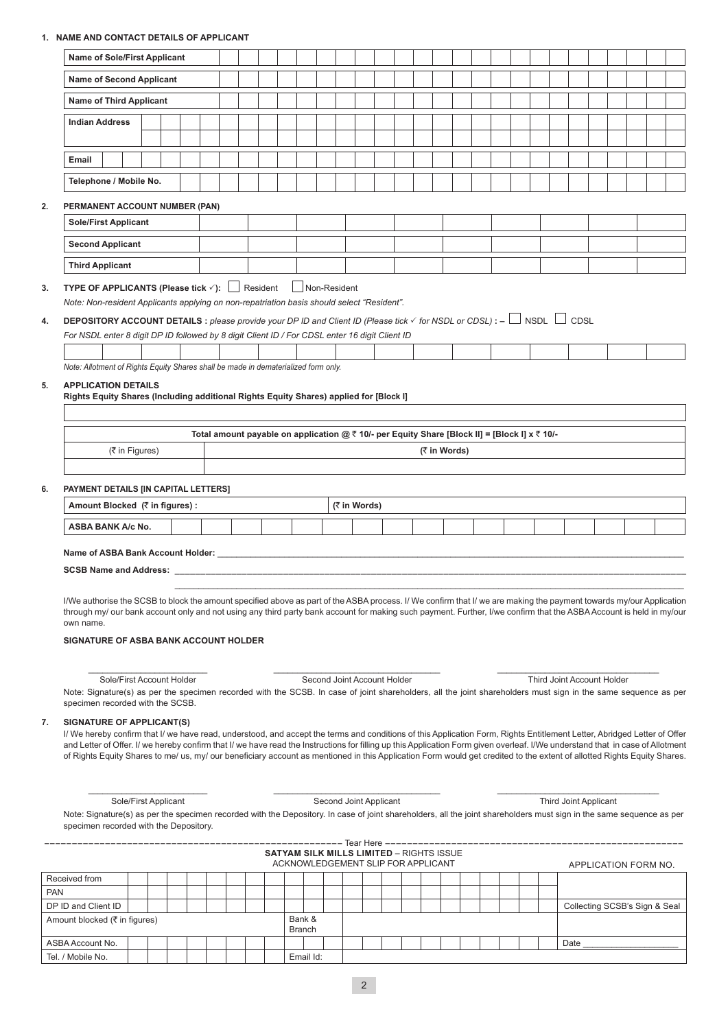# **1. NAME AND CONTACT DETAILS OF APPLICANT**

|    | Name of Sole/First Applicant                                                                                                                                                                                                                                                                                                                                                                                                                                                                                                                                       |                                                 |                             |  |                        |  |                                    |  |  |  |  |  |  |  |  |                       |                            |  |
|----|--------------------------------------------------------------------------------------------------------------------------------------------------------------------------------------------------------------------------------------------------------------------------------------------------------------------------------------------------------------------------------------------------------------------------------------------------------------------------------------------------------------------------------------------------------------------|-------------------------------------------------|-----------------------------|--|------------------------|--|------------------------------------|--|--|--|--|--|--|--|--|-----------------------|----------------------------|--|
|    |                                                                                                                                                                                                                                                                                                                                                                                                                                                                                                                                                                    |                                                 |                             |  |                        |  |                                    |  |  |  |  |  |  |  |  |                       |                            |  |
|    | Name of Second Applicant                                                                                                                                                                                                                                                                                                                                                                                                                                                                                                                                           |                                                 |                             |  |                        |  |                                    |  |  |  |  |  |  |  |  |                       |                            |  |
|    | <b>Name of Third Applicant</b>                                                                                                                                                                                                                                                                                                                                                                                                                                                                                                                                     |                                                 |                             |  |                        |  |                                    |  |  |  |  |  |  |  |  |                       |                            |  |
|    | <b>Indian Address</b>                                                                                                                                                                                                                                                                                                                                                                                                                                                                                                                                              |                                                 |                             |  |                        |  |                                    |  |  |  |  |  |  |  |  |                       |                            |  |
|    |                                                                                                                                                                                                                                                                                                                                                                                                                                                                                                                                                                    |                                                 |                             |  |                        |  |                                    |  |  |  |  |  |  |  |  |                       |                            |  |
|    | Email                                                                                                                                                                                                                                                                                                                                                                                                                                                                                                                                                              |                                                 |                             |  |                        |  |                                    |  |  |  |  |  |  |  |  |                       |                            |  |
|    | Telephone / Mobile No.                                                                                                                                                                                                                                                                                                                                                                                                                                                                                                                                             |                                                 |                             |  |                        |  |                                    |  |  |  |  |  |  |  |  |                       |                            |  |
| 2. | PERMANENT ACCOUNT NUMBER (PAN)                                                                                                                                                                                                                                                                                                                                                                                                                                                                                                                                     |                                                 |                             |  |                        |  |                                    |  |  |  |  |  |  |  |  |                       |                            |  |
|    | <b>Sole/First Applicant</b>                                                                                                                                                                                                                                                                                                                                                                                                                                                                                                                                        |                                                 |                             |  |                        |  |                                    |  |  |  |  |  |  |  |  |                       |                            |  |
|    | <b>Second Applicant</b>                                                                                                                                                                                                                                                                                                                                                                                                                                                                                                                                            |                                                 |                             |  |                        |  |                                    |  |  |  |  |  |  |  |  |                       |                            |  |
|    | <b>Third Applicant</b>                                                                                                                                                                                                                                                                                                                                                                                                                                                                                                                                             |                                                 |                             |  |                        |  |                                    |  |  |  |  |  |  |  |  |                       |                            |  |
| 3. | <b>TYPE OF APPLICANTS (Please tick <math>\checkmark</math>):</b> Resident                                                                                                                                                                                                                                                                                                                                                                                                                                                                                          |                                                 | Non-Resident                |  |                        |  |                                    |  |  |  |  |  |  |  |  |                       |                            |  |
|    | Note: Non-resident Applicants applying on non-repatriation basis should select "Resident".                                                                                                                                                                                                                                                                                                                                                                                                                                                                         |                                                 |                             |  |                        |  |                                    |  |  |  |  |  |  |  |  |                       |                            |  |
| 4. | <b>DEPOSITORY ACCOUNT DETAILS</b> : please provide your DP ID and Client ID (Please tick $\checkmark$ for NSDL or CDSL): - $\Box$ NSDL $\Box$ CDSL                                                                                                                                                                                                                                                                                                                                                                                                                 |                                                 |                             |  |                        |  |                                    |  |  |  |  |  |  |  |  |                       |                            |  |
|    | For NSDL enter 8 digit DP ID followed by 8 digit Client ID / For CDSL enter 16 digit Client ID                                                                                                                                                                                                                                                                                                                                                                                                                                                                     |                                                 |                             |  |                        |  |                                    |  |  |  |  |  |  |  |  |                       |                            |  |
|    |                                                                                                                                                                                                                                                                                                                                                                                                                                                                                                                                                                    |                                                 |                             |  |                        |  |                                    |  |  |  |  |  |  |  |  |                       |                            |  |
|    | Note: Allotment of Rights Equity Shares shall be made in dematerialized form only.                                                                                                                                                                                                                                                                                                                                                                                                                                                                                 |                                                 |                             |  |                        |  |                                    |  |  |  |  |  |  |  |  |                       |                            |  |
| 6. | PAYMENT DETAILS [IN CAPITAL LETTERS]                                                                                                                                                                                                                                                                                                                                                                                                                                                                                                                               |                                                 |                             |  |                        |  |                                    |  |  |  |  |  |  |  |  |                       |                            |  |
|    | Amount Blocked (₹ in figures) :                                                                                                                                                                                                                                                                                                                                                                                                                                                                                                                                    |                                                 |                             |  | (₹ in Words)           |  |                                    |  |  |  |  |  |  |  |  |                       |                            |  |
|    | <b>ASBA BANK A/c No.</b>                                                                                                                                                                                                                                                                                                                                                                                                                                                                                                                                           |                                                 |                             |  |                        |  |                                    |  |  |  |  |  |  |  |  |                       |                            |  |
|    | Name of ASBA Bank Account Holder: Name of ASBA Bank Account Holder:<br>SCSB Name and Address: We have a state of the state of the state of the state of the state of the state of the<br>I/We authorise the SCSB to block the amount specified above as part of the ASBA process. I/We confirm that I/we are making the payment towards my/our Application<br>through my/ our bank account only and not using any third party bank account for making such payment. Further, I/we confirm that the ASBA Account is held in my/our<br>own name.                     |                                                 |                             |  |                        |  |                                    |  |  |  |  |  |  |  |  |                       |                            |  |
|    | SIGNATURE OF ASBA BANK ACCOUNT HOLDER                                                                                                                                                                                                                                                                                                                                                                                                                                                                                                                              |                                                 |                             |  |                        |  |                                    |  |  |  |  |  |  |  |  |                       |                            |  |
|    | Sole/First Account Holder<br>Note: Signature(s) as per the specimen recorded with the SCSB. In case of joint shareholders, all the joint shareholders must sign in the same sequence as per<br>specimen recorded with the SCSB.                                                                                                                                                                                                                                                                                                                                    |                                                 | Second Joint Account Holder |  |                        |  |                                    |  |  |  |  |  |  |  |  |                       | Third Joint Account Holder |  |
| 7. | SIGNATURE OF APPLICANT(S)<br>I/ We hereby confirm that I/ we have read, understood, and accept the terms and conditions of this Application Form, Rights Entitlement Letter, Abridged Letter of Offer<br>and Letter of Offer. I/ we hereby confirm that I/ we have read the Instructions for filling up this Application Form given overleaf. I/We understand that in case of Allotment<br>of Rights Equity Shares to me/ us, my/ our beneficiary account as mentioned in this Application Form would get credited to the extent of allotted Rights Equity Shares. |                                                 |                             |  |                        |  |                                    |  |  |  |  |  |  |  |  |                       |                            |  |
|    | Sole/First Applicant                                                                                                                                                                                                                                                                                                                                                                                                                                                                                                                                               |                                                 |                             |  | Second Joint Applicant |  |                                    |  |  |  |  |  |  |  |  | Third Joint Applicant |                            |  |
|    | Note: Signature(s) as per the specimen recorded with the Depository. In case of joint shareholders, all the joint shareholders must sign in the same sequence as per<br>specimen recorded with the Depository.                                                                                                                                                                                                                                                                                                                                                     |                                                 |                             |  |                        |  |                                    |  |  |  |  |  |  |  |  |                       |                            |  |
|    |                                                                                                                                                                                                                                                                                                                                                                                                                                                                                                                                                                    | <b>SATYAM SILK MILLS LIMITED - RIGHTS ISSUE</b> |                             |  |                        |  | ACKNOWLEDGEMENT SLIP FOR APPLICANT |  |  |  |  |  |  |  |  |                       | APPLICATION FORM NO.       |  |

| Received from                 |           |  |  |  |  |  |  |  |                         |  |  |  |  |  |  |  |  |                               |  |  |  |
|-------------------------------|-----------|--|--|--|--|--|--|--|-------------------------|--|--|--|--|--|--|--|--|-------------------------------|--|--|--|
| <b>PAN</b>                    |           |  |  |  |  |  |  |  |                         |  |  |  |  |  |  |  |  |                               |  |  |  |
| DP ID and Client ID           |           |  |  |  |  |  |  |  |                         |  |  |  |  |  |  |  |  | Collecting SCSB's Sign & Seal |  |  |  |
| Amount blocked (₹ in figures) |           |  |  |  |  |  |  |  | Bank &<br><b>Branch</b> |  |  |  |  |  |  |  |  |                               |  |  |  |
| ASBA Account No.              |           |  |  |  |  |  |  |  |                         |  |  |  |  |  |  |  |  | Date                          |  |  |  |
| Tel. / Mobile No.             | Email Id: |  |  |  |  |  |  |  |                         |  |  |  |  |  |  |  |  |                               |  |  |  |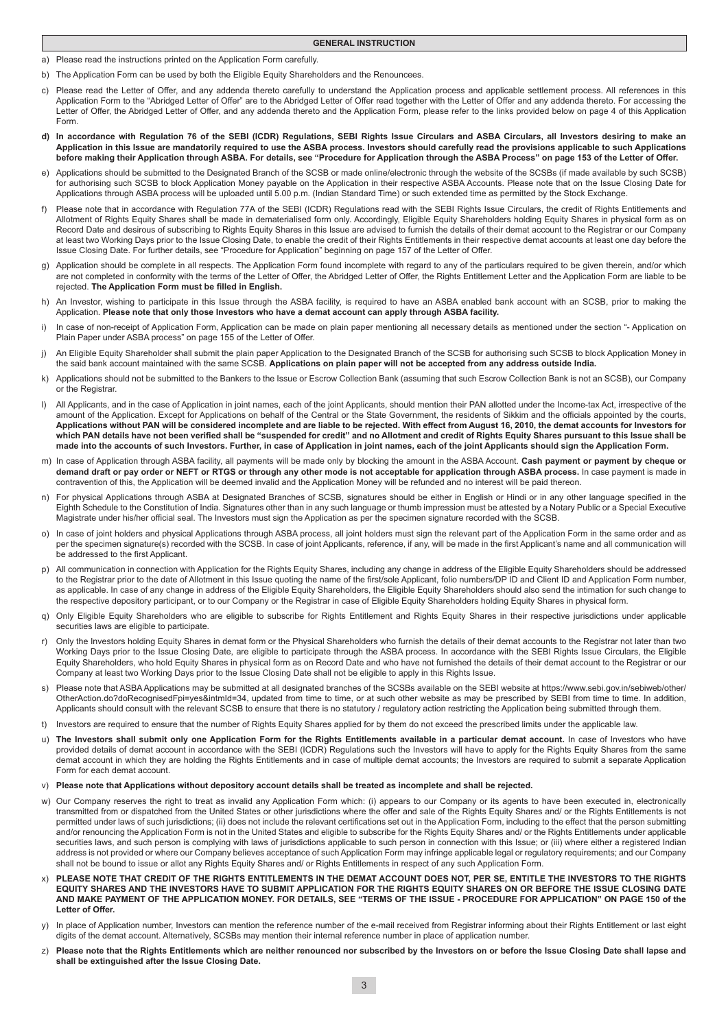#### **GENERAL INSTRUCTION**

- a) Please read the instructions printed on the Application Form carefully.
- b) The Application Form can be used by both the Eligible Equity Shareholders and the Renouncees
- c) Please read the Letter of Offer, and any addenda thereto carefully to understand the Application process and applicable settlement process. All references in this Application Form to the "Abridged Letter of Offer" are to the Abridged Letter of Offer read together with the Letter of Offer and any addenda thereto. For accessing the Letter of Offer, the Abridged Letter of Offer, and any addenda thereto and the Application Form, please refer to the links provided below on page 4 of this Application Form.
- **d) In accordance with Regulation 76 of the SEBI (ICDR) Regulations, SEBI Rights Issue Circulars and ASBA Circulars, all Investors desiring to make an Application in this Issue are mandatorily required to use the ASBA process. Investors should carefully read the provisions applicable to such Applications before making their Application through ASBA. For details, see "Procedure for Application through the ASBA Process" on page 153 of the Letter of Offer.**
- e) Applications should be submitted to the Designated Branch of the SCSB or made online/electronic through the website of the SCSBs (if made available by such SCSB) for authorising such SCSB to block Application Money payable on the Application in their respective ASBA Accounts. Please note that on the Issue Closing Date for Applications through ASBA process will be uploaded until 5.00 p.m. (Indian Standard Time) or such extended time as permitted by the Stock Exchange.
- f) Please note that in accordance with Regulation 77A of the SEBI (ICDR) Regulations read with the SEBI Rights Issue Circulars, the credit of Rights Entitlements and Allotment of Rights Equity Shares shall be made in dematerialised form only. Accordingly, Eligible Equity Shareholders holding Equity Shares in physical form as on Record Date and desirous of subscribing to Rights Equity Shares in this Issue are advised to furnish the details of their demat account to the Registrar or our Company at least two Working Days prior to the Issue Closing Date, to enable the credit of their Rights Entitlements in their respective demat accounts at least one day before the Issue Closing Date. For further details, see "Procedure for Application" beginning on page 157 of the Letter of Offer.
- g) Application should be complete in all respects. The Application Form found incomplete with regard to any of the particulars required to be given therein, and/or which are not completed in conformity with the terms of the Letter of Offer, the Abridged Letter of Offer, the Rights Entitlement Letter and the Application Form are liable to be rejected. **The Application Form must be filled in English.**
- h) An Investor, wishing to participate in this Issue through the ASBA facility, is required to have an ASBA enabled bank account with an SCSB, prior to making the Application. **Please note that only those Investors who have a demat account can apply through ASBA facility.**
- i) In case of non-receipt of Application Form, Application can be made on plain paper mentioning all necessary details as mentioned under the section "- Application on Plain Paper under ASBA process" on page 155 of the Letter of Offer.
- j) An Eligible Equity Shareholder shall submit the plain paper Application to the Designated Branch of the SCSB for authorising such SCSB to block Application Money in the said bank account maintained with the same SCSB. **Applications on plain paper will not be accepted from any address outside India.**
- k) Applications should not be submitted to the Bankers to the Issue or Escrow Collection Bank (assuming that such Escrow Collection Bank is not an SCSB), our Company or the Registrar
- l) All Applicants, and in the case of Application in joint names, each of the joint Applicants, should mention their PAN allotted under the Income-tax Act, irrespective of the amount of the Application. Except for Applications on behalf of the Central or the State Government, the residents of Sikkim and the officials appointed by the courts, **Applications without PAN will be considered incomplete and are liable to be rejected. With effect from August 16, 2010, the demat accounts for Investors for which PAN details have not been verified shall be "suspended for credit" and no Allotment and credit of Rights Equity Shares pursuant to this Issue shall be made into the accounts of such Investors. Further, in case of Application in joint names, each of the joint Applicants should sign the Application Form.**
- m) In case of Application through ASBA facility, all payments will be made only by blocking the amount in the ASBA Account. **Cash payment or payment by cheque or demand draft or pay order or NEFT or RTGS or through any other mode is not acceptable for application through ASBA process.** In case payment is made in contravention of this, the Application will be deemed invalid and the Application Money will be refunded and no interest will be paid thereon.
- n) For physical Applications through ASBA at Designated Branches of SCSB, signatures should be either in English or Hindi or in any other language specified in the Eighth Schedule to the Constitution of India. Signatures other than in any such language or thumb impression must be attested by a Notary Public or a Special Executive Magistrate under his/her official seal. The Investors must sign the Application as per the specimen signature recorded with the SCSB.
- o) In case of joint holders and physical Applications through ASBA process, all joint holders must sign the relevant part of the Application Form in the same order and as per the specimen signature(s) recorded with the SCSB. In case of joint Applicants, reference, if any, will be made in the first Applicant's name and all communication will be addressed to the first Applicant.
- p) All communication in connection with Application for the Rights Equity Shares, including any change in address of the Eligible Equity Shareholders should be addressed to the Registrar prior to the date of Allotment in this Issue quoting the name of the first/sole Applicant, folio numbers/DP ID and Client ID and Application Form number, as applicable. In case of any change in address of the Eligible Equity Shareholders, the Eligible Equity Shareholders should also send the intimation for such change to the respective depository participant, or to our Company or the Registrar in case of Eligible Equity Shareholders holding Equity Shares in physical form.
- q) Only Eligible Equity Shareholders who are eligible to subscribe for Rights Entitlement and Rights Equity Shares in their respective jurisdictions under applicable securities laws are eligible to participate.
- r) Only the Investors holding Equity Shares in demat form or the Physical Shareholders who furnish the details of their demat accounts to the Registrar not later than two Working Days prior to the Issue Closing Date, are eligible to participate through the ASBA process. In accordance with the SEBI Rights Issue Circulars, the Eligible Equity Shareholders, who hold Equity Shares in physical form as on Record Date and who have not furnished the details of their demat account to the Registrar or our Company at least two Working Days prior to the Issue Closing Date shall not be eligible to apply in this Rights Issue.
- s) Please note that ASBA Applications may be submitted at all designated branches of the SCSBs available on the SEBI website at https://www.sebi.gov.in/sebiweb/other/ OtherAction.do?doRecognisedFpi=yes&intmId=34, updated from time to time, or at such other website as may be prescribed by SEBI from time to time. In addition, Applicants should consult with the relevant SCSB to ensure that there is no statutory / regulatory action restricting the Application being submitted through them.
- t) Investors are required to ensure that the number of Rights Equity Shares applied for by them do not exceed the prescribed limits under the applicable law.
- u) **The Investors shall submit only one Application Form for the Rights Entitlements available in a particular demat account.** In case of Investors who have provided details of demat account in accordance with the SEBI (ICDR) Regulations such the Investors will have to apply for the Rights Equity Shares from the same demat account in which they are holding the Rights Entitlements and in case of multiple demat accounts; the Investors are required to submit a separate Application Form for each demat account.
- v) **Please note that Applications without depository account details shall be treated as incomplete and shall be rejected.**
- w) Our Company reserves the right to treat as invalid any Application Form which: (i) appears to our Company or its agents to have been executed in, electronically transmitted from or dispatched from the United States or other jurisdictions where the offer and sale of the Rights Equity Shares and/ or the Rights Entitlements is not permitted under laws of such jurisdictions; (ii) does not include the relevant certifications set out in the Application Form, including to the effect that the person submitting and/or renouncing the Application Form is not in the United States and eligible to subscribe for the Rights Equity Shares and/ or the Rights Entitlements under applicable securities laws, and such person is complying with laws of jurisdictions applicable to such person in connection with this Issue; or (iii) where either a registered Indian address is not provided or where our Company believes acceptance of such Application Form may infringe applicable legal or regulatory requirements; and our Company shall not be bound to issue or allot any Rights Equity Shares and/ or Rights Entitlements in respect of any such Application Form.
- x) **PLEASE NOTE THAT CREDIT OF THE RIGHTS ENTITLEMENTS IN THE DEMAT ACCOUNT DOES NOT, PER SE, ENTITLE THE INVESTORS TO THE RIGHTS EQUITY SHARES AND THE INVESTORS HAVE TO SUBMIT APPLICATION FOR THE RIGHTS EQUITY SHARES ON OR BEFORE THE ISSUE CLOSING DATE AND MAKE PAYMENT OF THE APPLICATION MONEY. FOR DETAILS, SEE "TERMS OF THE ISSUE - PROCEDURE FOR APPLICATION" ON PAGE 150 of the Letter of Offer.**
- y) In place of Application number, Investors can mention the reference number of the e-mail received from Registrar informing about their Rights Entitlement or last eight digits of the demat account. Alternatively, SCSBs may mention their internal reference number in place of application number.
- z) **Please note that the Rights Entitlements which are neither renounced nor subscribed by the Investors on or before the Issue Closing Date shall lapse and shall be extinguished after the Issue Closing Date.**